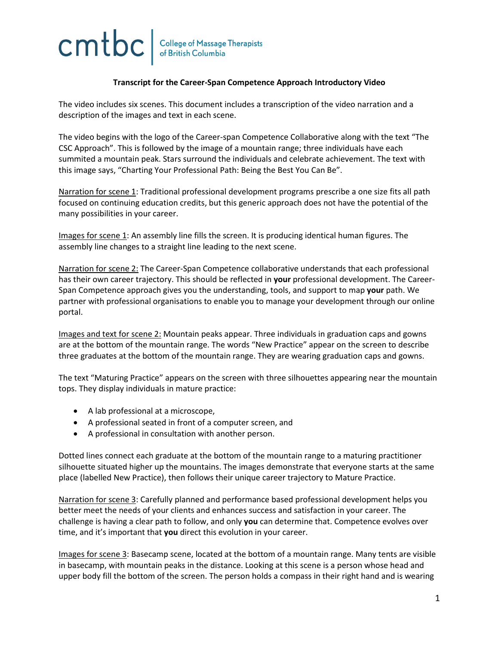## cmtbc **College of Massage Therapists<br>of British Columbia**

## **Transcript for the Career-Span Competence Approach Introductory Video**

The video includes six scenes. This document includes a transcription of the video narration and a description of the images and text in each scene.

The video begins with the logo of the Career-span Competence Collaborative along with the text "The CSC Approach". This is followed by the image of a mountain range; three individuals have each summited a mountain peak. Stars surround the individuals and celebrate achievement. The text with this image says, "Charting Your Professional Path: Being the Best You Can Be".

Narration for scene 1: Traditional professional development programs prescribe a one size fits all path focused on continuing education credits, but this generic approach does not have the potential of the many possibilities in your career.

Images for scene 1: An assembly line fills the screen. It is producing identical human figures. The assembly line changes to a straight line leading to the next scene.

Narration for scene 2: The Career-Span Competence collaborative understands that each professional has their own career trajectory. This should be reflected in **your** professional development. The Career-Span Competence approach gives you the understanding, tools, and support to map **your** path. We partner with professional organisations to enable you to manage your development through our online portal.

Images and text for scene 2: Mountain peaks appear. Three individuals in graduation caps and gowns are at the bottom of the mountain range. The words "New Practice" appear on the screen to describe three graduates at the bottom of the mountain range. They are wearing graduation caps and gowns.

The text "Maturing Practice" appears on the screen with three silhouettes appearing near the mountain tops. They display individuals in mature practice:

- A lab professional at a microscope,
- A professional seated in front of a computer screen, and
- A professional in consultation with another person.

Dotted lines connect each graduate at the bottom of the mountain range to a maturing practitioner silhouette situated higher up the mountains. The images demonstrate that everyone starts at the same place (labelled New Practice), then follows their unique career trajectory to Mature Practice.

Narration for scene 3: Carefully planned and performance based professional development helps you better meet the needs of your clients and enhances success and satisfaction in your career. The challenge is having a clear path to follow, and only **you** can determine that. Competence evolves over time, and it's important that **you** direct this evolution in your career.

Images for scene 3: Basecamp scene, located at the bottom of a mountain range. Many tents are visible in basecamp, with mountain peaks in the distance. Looking at this scene is a person whose head and upper body fill the bottom of the screen. The person holds a compass in their right hand and is wearing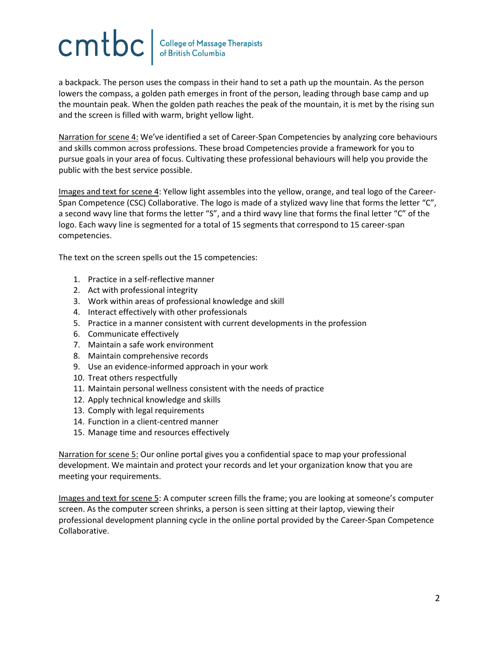## CMUC Gollege of Massage Therapists

a backpack. The person uses the compass in their hand to set a path up the mountain. As the person lowers the compass, a golden path emerges in front of the person, leading through base camp and up the mountain peak. When the golden path reaches the peak of the mountain, it is met by the rising sun and the screen is filled with warm, bright yellow light.

Narration for scene 4: We've identified a set of Career-Span Competencies by analyzing core behaviours and skills common across professions. These broad Competencies provide a framework for you to pursue goals in your area of focus. Cultivating these professional behaviours will help you provide the public with the best service possible.

Images and text for scene 4: Yellow light assembles into the yellow, orange, and teal logo of the Career-Span Competence (CSC) Collaborative. The logo is made of a stylized wavy line that forms the letter "C", a second wavy line that forms the letter "S", and a third wavy line that forms the final letter "C" of the logo. Each wavy line is segmented for a total of 15 segments that correspond to 15 career-span competencies.

The text on the screen spells out the 15 competencies:

- 1. Practice in a self-reflective manner
- 2. Act with professional integrity
- 3. Work within areas of professional knowledge and skill
- 4. Interact effectively with other professionals
- 5. Practice in a manner consistent with current developments in the profession
- 6. Communicate effectively
- 7. Maintain a safe work environment
- 8. Maintain comprehensive records
- 9. Use an evidence-informed approach in your work
- 10. Treat others respectfully
- 11. Maintain personal wellness consistent with the needs of practice
- 12. Apply technical knowledge and skills
- 13. Comply with legal requirements
- 14. Function in a client-centred manner
- 15. Manage time and resources effectively

Narration for scene 5: Our online portal gives you a confidential space to map your professional development. We maintain and protect your records and let your organization know that you are meeting your requirements.

Images and text for scene 5: A computer screen fills the frame; you are looking at someone's computer screen. As the computer screen shrinks, a person is seen sitting at their laptop, viewing their professional development planning cycle in the online portal provided by the Career-Span Competence Collaborative.